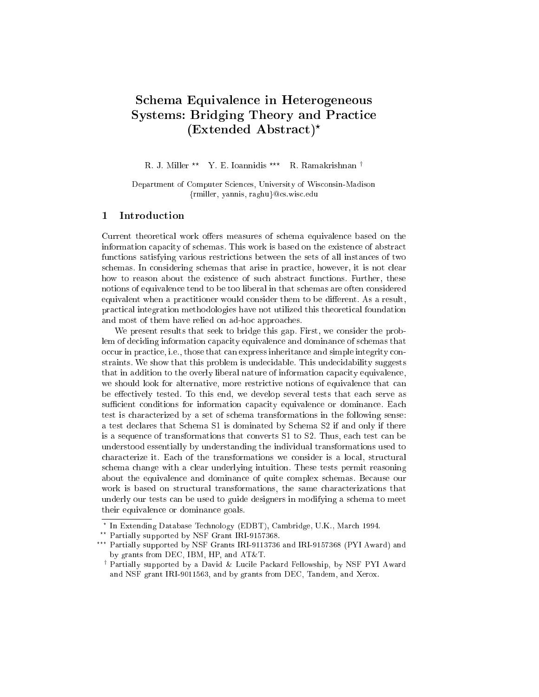# Schema Equivalence in Heterogeneous Systems: Bridging Theory and Practice  $(Extended$  Abstract)<sup>\*</sup>

R. J. Miller \*\* Y. E. Ioannidis \*\*\* R. Ramakrishnan  $^{\dagger}$ 

Department of Computer Sciences, University of Wisconsin-Madison {rmiller, yannis, raghu}@cs.wisc.edu

# <sup>1</sup> Introduction

Current theoretical work offers measures of schema equivalence based on the information capacity of schemas. This work is based on the existence of abstract functions satisfying various restrictions between the sets of all instances of two schemas. In considering schemas that arise in practice, however, it is not clear how to reason about the existence of such abstract functions. Further, these notions of equivalence tend to be too liberal in that schemas are often considered equivalent when a practitioner would consider them to be different. As a result, practical integration methodologies have not utilized this theoretical foundation and most of them have relied on ad-hoc approaches.

We present results that seek to bridge this gap. First, we consider the problem of deciding information capacity equivalence and dominance of schemas that occur in practice, i.e., those that can express inheritance and simple integrity constraints. We show that this problem is undecidable. This undecidability suggests that in addition to the overly liberal nature of information capacity equivalence, we should look for alternative, more restrictive notions of equivalence that can be effectively tested. To this end, we develop several tests that each serve as sufficient conditions for information capacity equivalence or dominance. Each test is characterized by a set of schema transformations in the following sense: a test declares that Schema S1 is dominated by Schema S2 if and only if there is a sequence of transformations that converts S1 to S2. Thus, each test can be understood essentially by understanding the individual transformations used to characterize it. Each of the transformations we consider is a local, structural schema change with a clear underlying intuition. These tests permit reasoning about the equivalence and dominance of quite complex schemas. Because our work is based on structural transformations, the same characterizations that underly our tests can be used to guide designers in modifying a schema to meet their equivalence or dominance goals.

<sup>?</sup> In Extending Database Technology (EDBT), Cambridge, U.K., March 1994.

<sup>??</sup> Partially supported by NSF Grant IRI-9157368.

<sup>???</sup> Partially supported by NSF Grants IRI-9113736 and IRI-9157368 (PYI Award) and by grants from DEC, IBM, HP, and AT&T.

<sup>y</sup> Partially supported by a David & Lucile Packard Fellowship, by NSF PYI Award and NSF grant IRI-9011563, and by grants from DEC, Tandem, and Xerox.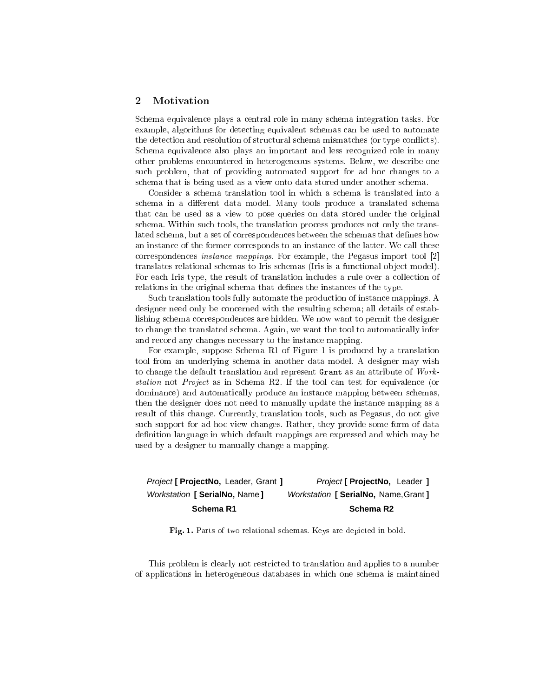# <sup>2</sup> Motivation

Schema equivalence plays a central role in many schema integration tasks. For example, algorithms for detecting equivalent schemas can be used to automate the detection and resolution of structural schema mismatches (or type conflicts). Schema equivalence also plays an important and less recognized role in many other problems encountered in heterogeneous systems. Below, we describe one such problem, that of providing automated support for ad hoc changes to a schema that is being used as a view onto data stored under another schema.

Consider a schema translation tool in which a schema is translated into a schema in a different data model. Many tools produce a translated schema that can be used as a view to pose queries on data stored under the original schema. Within such tools, the translation process produces not only the translated schema, but a set of correspondences between the schemas that defines how an instance of the former corresponds to an instance of the latter. We call these correspondences instance mappings. For example, the Pegasus import tool [2] translates relational schemas to Iris schemas (Iris is a functional ob ject model). For each Iris type, the result of translation includes a rule over a collection of relations in the original schema that defines the instances of the type.

Such translation tools fully automate the production of instance mappings. A designer need only be concerned with the resulting schema; all details of establishing schema correspondences are hidden. We now want to permit the designer to change the translated schema. Again, we want the tool to automatically infer and record any changes necessary to the instance mapping.

For example, suppose Schema R1 of Figure 1 is produced by a translation tool from an underlying schema in another data model. A designer may wish to change the default translation and represent Grant as an attribute of Workstation not Project as in Schema R2. If the tool can test for equivalence (or dominance) and automatically produce an instance mapping between schemas, then the designer does not need to manually update the instance mapping as a result of this change. Currently, translation tools, such as Pegasus, do not give such support for ad hoc view changes. Rather, they provide some form of data definition language in which default mappings are expressed and which may be used by a designer to manually change a mapping.

| Project [ ProjectNo, Leader, Grant ] | Project [ ProjectNo, Leader ]         |
|--------------------------------------|---------------------------------------|
| Workstation [ SerialNo, Name ]       | Workstation [ SerialNo, Name, Grant ] |
| Schema R1                            | Schema R2                             |

Fig. 1. Parts of two relational schemas. Keys are depicted in bold.

This problem is clearly not restricted to translation and applies to a number of applications in heterogeneous databases in which one schema is maintained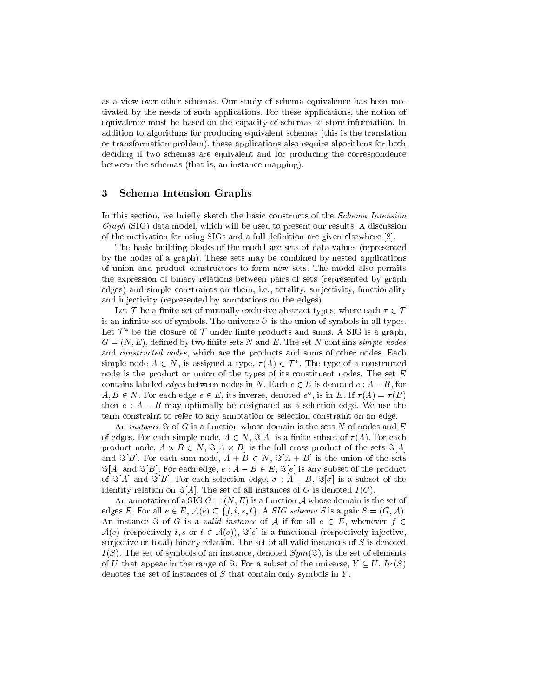as a view over other schemas. Our study of schema equivalence has been motivated by the needs of such applications. For these applications, the notion of equivalence must be based on the capacity of schemas to store information. In addition to algorithms for producing equivalent schemas (this is the translation or transformation problem), these applications also require algorithms for both deciding if two schemas are equivalent and for producing the correspondence between the schemas (that is, an instance mapping).

# <sup>3</sup> Schema Intension Graphs

In this section, we briefly sketch the basic constructs of the *Schema Intension* Graph (SIG) data model, which will be used to present our results. A discussion of the motivation for using SIGs and a full definition are given elsewhere [8].

The basic building blocks of the model are sets of data values (represented by the nodes of a graph). These sets may be combined by nested applications of union and product constructors to form new sets. The model also permits the expression of binary relations between pairs of sets (represented by graph edges) and simple constraints on them, i.e., totality, surjectivity, functionality and injectivity (represented by annotations on the edges).

Let T be a finite set of mutually exclusive abstract types, where each  $\tau \in \mathcal{T}$ is an infinite set of symbols. The universe  $U$  is the union of symbols in all types. Let T be the closure of T under limite products and sums. A SIG is a graph,  $G = (N, E)$ , defined by two finite sets N and E. The set N contains simple nodes and constructed nodes, which are the products and sums of other nodes. Each simple node  $A \in N$ , is assigned a type,  $\tau(A) \in T$  . The type of a constructed node is the product or union of the types of its constituent nodes. The set  $E$ contains labeled *edges* between nodes in N. Each  $e \in E$  is denoted  $e : A - B$ , for  $A, D \in N$ . For each edge  $e \in E$ , its inverse, denoted e, is in E. If  $\tau(A) = \tau(D)$ then  $e : A - B$  may optionally be designated as a selection edge. We use the term constraint to refer to any annotation or selection constraint on an edge.

An *instance*  $\Im$  of G is a function whose domain is the sets N of nodes and E of edges. For each simple node,  $A \in N$ ,  $\Im[A]$  is a finite subset of  $\tau(A)$ . For each product node, A - B 2 N, =[A - B] is the full cross product of the sets =[A] is the sets =[A] is the sets =[A] and  $\Im[B]$ . For each sum node,  $A + B \in N$ ,  $\Im[A + B]$  is the union of the sets  $\Im[A]$  and  $\Im[B]$ . For each edge,  $e : A - B \in E$ ,  $\Im[e]$  is any subset of the product of  $\Im[A]$  and  $\Im[B]$ . For each selection edge,  $\sigma : A - B$ ,  $\Im[\sigma]$  is a subset of the identity relation on  $\Im[A]$ . The set of all instances of G is denoted  $I(G)$ .

An annotation of a SIG  $G = (N, E)$  is a function A whose domain is the set of edges E. For all  $e \in E$ ,  $\mathcal{A}(e) \subseteq \{f, i, s, t\}$ . A *SIG schema S* is a pair  $S = (G, \mathcal{A})$ . An instance  $\Im$  of G is a valid instance of A if for all  $e \in E$ , whenever  $f \in$  $A(e)$  (respectively i, s or  $t \in A(e)$ ),  $\Im[e]$  is a functional (respectively injective, surjective or total) binary relation. The set of all valid instances of  $S$  is denoted  $I(S)$ . The set of symbols of an instance, denoted  $Sym(S)$ , is the set of elements of U that appear in the range of  $\Im$ . For a subset of the universe,  $Y \subseteq U$ ,  $I_Y(S)$ denotes the set of instances of  $S$  that contain only symbols in  $Y$ .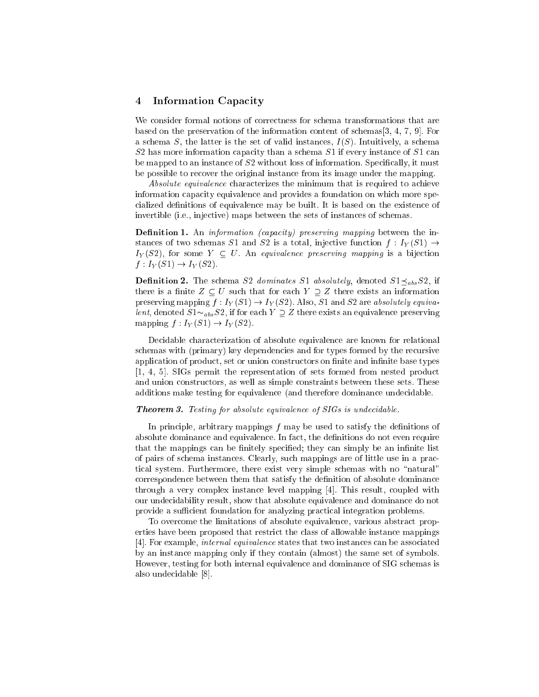# <sup>4</sup> Information Capacity

We consider formal notions of correctness for schema transformations that are based on the preservation of the information content of schemas[3, 4, 7, 9]. For a schema S, the latter is the set of valid instances,  $I(S)$ . Intuitively, a schema  $S2$  has more information capacity than a schema  $S1$  if every instance of  $S1$  can be mapped to an instance of  $S2$  without loss of information. Specifically, it must be possible to recover the original instance from its image under the mapping.

Absolute equivalence characterizes the minimum that is required to achieve information capacity equivalence and provides a foundation on which more specialized definitions of equivalence may be built. It is based on the existence of invertible (i.e., injective) maps between the sets of instances of schemas.

 $\blacksquare$  . An interesting the information (capacity) preserving mapping between the instances of two schemas S1 and S2 is a total, injective function  $f: I_Y(S1) \rightarrow$  $I_Y(S2)$ , for some  $Y \subseteq U$ . An equivalence preserving mapping is a bijection  $f: I_Y(S1) \to I_Y(S2)$ .

Denition 2. The schema S2 dominates S1 absolutely, denoted S1absS2, if there is a finite  $Z \subseteq U$  such that for each  $Y \supseteq Z$  there exists an information preserving mapping  $f: I_Y(S1) \to I_Y(S2)$ . Also, S1 and S2 are absolutely equivalent, denoted  $S1\sim_{abs}S2$ , if for each  $Y \supseteq Z$  there exists an equivalence preserving mapping  $f: I_Y(S1) \to I_Y(S2)$ .

Decidable characterization of absolute equivalence are known for relational schemas with (primary) key dependencies and for types formed by the recursive application of product, set or union constructors on finite and infinite base types [1, 4, 5]. SIGs permit the representation of sets formed from nested product and union constructors, as well as simple constraints between these sets. These additions make testing for equivalence (and therefore dominance undecidable.

### Theorem 3. Testing for absolute equivalence of SIGs is undecidable.

In principle, arbitrary mappings  $f$  may be used to satisfy the definitions of absolute dominance and equivalence. In fact, the definitions do not even require that the mappings can be finitely specified; they can simply be an infinite list of pairs of schema instances. Clearly, such mappings are of little use in a practical system. Furthermore, there exist very simple schemas with no \natural" correspondence between them that satisfy the definition of absolute dominance through a very complex instance level mapping [4]. This result, coupled with our undecidability result, show that absolute equivalence and dominance do not provide a sufficient foundation for analyzing practical integration problems.

To overcome the limitations of absolute equivalence, various abstract properties have been proposed that restrict the class of allowable instance mappings [4]. For example, internal equivalence states that two instances can be associated by an instance mapping only if they contain (almost) the same set of symbols. However, testing for both internal equivalence and dominance of SIG schemas is also undecidable [8].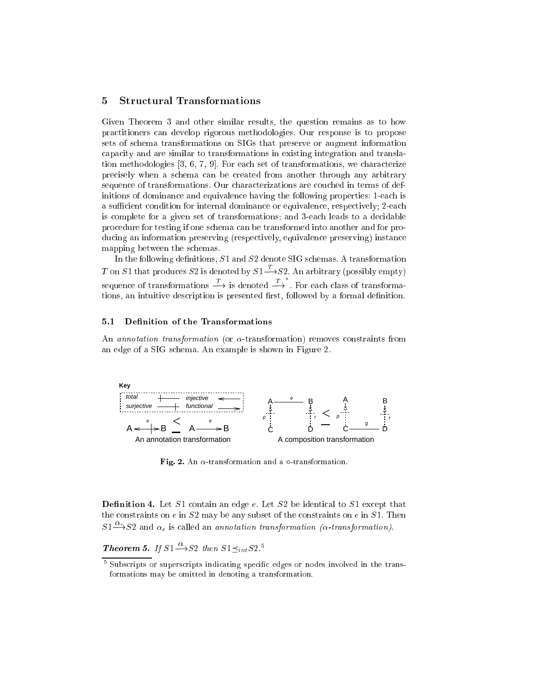# <sup>5</sup> Structural Transformations

Given Theorem 3 and other similar results, the question remains as to how practitioners can develop rigorous methodologies. Our response is to propose sets of schema transformations on SIGs that preserve or augment information capacity and are similar to transformations in existing integration and translation methodologies [3, 6, 7, 9]. For each set of transformations, we characterize precisely when a schema can be created from another through any arbitrary sequence of transformations. Our characterizations are couched in terms of definitions of dominance and equivalence having the following properties: 1-each is a sufficient condition for internal dominance or equivalence, respectively; 2-each is complete for a given set of transformations; and 3-each leads to a decidable procedure for testing if one schema can be transformed into another and for producing an information preserving (respectively, equivalence preserving) instance mapping between the schemas.

In the following definitions,  $S1$  and  $S2$  denote SIG schemas. A transformation T on S1 that produces S2 is denoted by  $S1 \rightarrow S2$ . An arbitrary (possibly empty) sequence of transformations  $\rightarrow$  is denoted  $\rightarrow$  tions, an intuitive description is presented first, followed by a formal definition.

### 5.1Definition of the Transformations

An annotation transformation (or  $\alpha$ -transformation) removes constraints from an edge of a SIG schema. An example is shown in Figure 2.



Fig. 2. An -transformation and a -transformation.

Denition 4. Let S1 contain an edge e. Let S2 be identical to S1 except that the constraints on  $e$  in  $S2$  may be any subset of the constraints on  $e$  in  $S1$ . Then  $S1 \rightarrow S2$  and  $\alpha_e$  is called an annotation transformation ( $\alpha$ -transformation).

**Theorem 5.** If  $S1 \rightarrow S2$  then  $S1 \leq_{int} S2$ .

<sup>5</sup> Subscripts or superscripts indicating specific edges or nodes involved in the transformations may be omitted in denoting a transformation.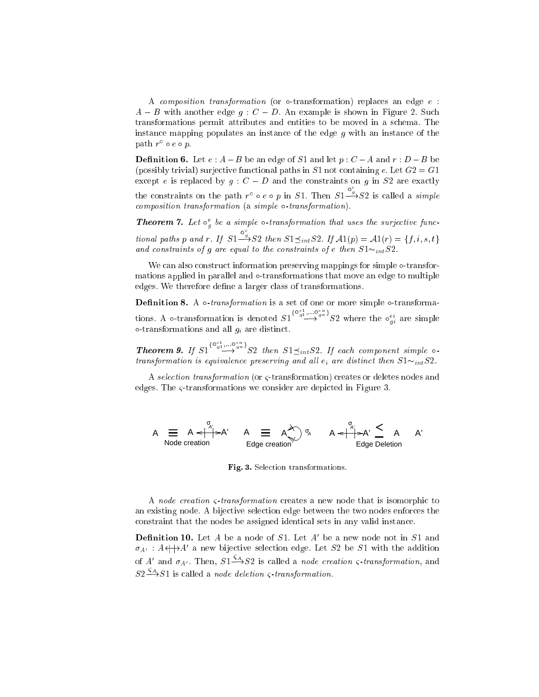A composition transformation (or  $\circ$ -transformation) replaces an edge  $e$ :  $A - B$  with another edge  $g : C - D$ . An example is shown in Figure 2. Such transformations permit attributes and entities to be moved in a schema. The instance mapping populates an instance of the edge  $g$  with an instance of the  $\text{path } r \circ e \circ p.$ 

 $\mathcal{L}$ (possibly trivial) surjective functional paths in S1 not containing e. Let  $G2 = G1$ except e is replaced by  $q : C - D$  and the constraints on q in S2 are exactly

the constraints on the path  $r \circ e \circ p$  in S1. Then S1  $\frac{g}{\longrightarrow}$  S2 is called a *simple*  $composition$  transformation (a simple  $\circ$ -transformation).

**Theorem 1.** Let  $\circ_{\sigma}^{\circ}$  be a simple  $\circ$ -transformation that uses the surjective functional paths provided a paths paths paths paths paths paths are a set of the set of the set of the set of the  $\stackrel{\circ}{\longrightarrow}$  S2 then  $S1 \leq_{int} S2$ . If  $\mathcal{A}1(p) = \mathcal{A}1(r) = \{f, i, s, t\}$ and constraints of g are equal to the constraints of extent  $\omega = -\mu \mu \nu \omega = 0$ 

We can also construct information preserving mappings for simple  $\circ$ -transformations applied in parallel and  $\circ$ -transformations that move an edge to multiple edges. We therefore define a larger class of transformations.

Denition 8. A -transformation is a set of one or more simple -transforma- $\lim_{n \to \infty} \frac{\sum_{j=1}^{n} S_j}{n}$  where the  $\circ_{qi}^{ei}$  are simple  $\circ$ -transformations and all  $g_i$  are distinct.

Theorem 9. If  $\mathcal{S}_1$  is strong proposition in the strong proposition in the strong proposition in the strong proposition in the strong proposition in the strong proposition in the strong proposition in the strong propo  $\stackrel{\{0_{\widetilde{g_1}}, \ldots, 0_{\widetilde{g_n}}\}}{\longrightarrow}$  S2 then  $S1\leq_{int}S2$ . If each component simple  $\circ$ transformation is equivalence preserving and al l ei are distinct then S1intS2.

A selection transformation (or  $\varsigma$ -transformation) creates or deletes nodes and edges. The  $\varsigma$ -transformations we consider are depicted in Figure 3.



Fig. 3. Selection transformations.

A node creation  $\varsigma$ -transformation creates a new node that is isomorphic to an existing node. A bijective selection edge between the two nodes enforces the constraint that the nodes be assigned identical sets in any valid instance.

**Definition IV.** Let  $A$  be a node of  $51$ . Let  $A$  be a new node not in  $51$  and  $\sigma_{A'}$ : A $\leftrightarrow$ A a new bijective selection edge. Let  $z$  be  $z$ 1 with the addition of A' and  $\sigma_{A'}$ . Then,  $S1 \stackrel{\longrightarrow}{\longrightarrow} S2$  is called a node creation  $\varsigma$ -transformation, and  $S2 \xrightarrow{S_A} S1$  is called a node deletion  $\zeta$ -transformation. . S1 is called a node deletion  $\mathcal{S}_1$  is called a node deletion  $\mathcal{S}_2$  is called a node of  $\mathcal{S}_3$  is called a node of  $\mathcal{S}_4$  is called a node of  $\mathcal{S}_5$  is called a node of  $\mathcal{S}_6$  is called a node of  $\mathcal{$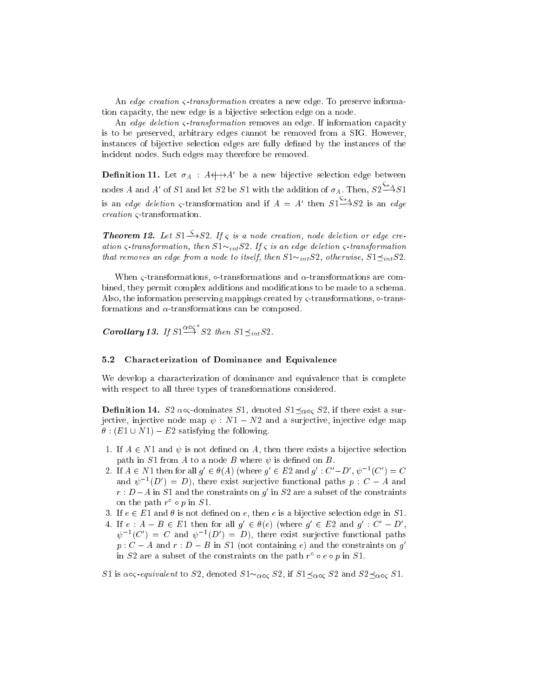An edge creation  $\varsigma$ -transformation creates a new edge. To preserve information capacity, the new edge is a bijective selection edge on a node.

An edge deletion  $\varsigma$ -transformation removes an edge. If information capacity is to be preserved, arbitrary edges cannot be removed from a SIG. However, instances of bijective selection edges are fully dened by the instances of the incident nodes. Such edges may therefore be removed.

**Definition 11.** Let  $\sigma_A$  :  $A \leftrightarrow A$  be a new bijective selection edge between nodes A and A' of S1 and let S2 be S1 with the addition of  $\sigma_A$ . Then,  $S2 \rightarrow S1$ is an edge deletion  $\varsigma$ -transformation and if  $A = A'$  then  $S1 \rightarrow S2$  is an edge  $creation \leftarrow$ transformation.

**Theorem 12.** Let  $S1 \rightarrow S2$ . If  $\varsigma$  is a node creation, node deletion or edge creation  $\varsigma$ -transformation, then  $S1\sim_{int}S2$ . If  $\varsigma$  is an edge deletion  $\varsigma$ -transformation that removes an edge from a node to itself, then  $S1\sim_{int}S2$ , otherwise,  $S1\preceq_{int}S2$ .

When  $\varsigma$ -transformations,  $\circ$ -transformations and  $\alpha$ -transformations are combined, they permit complex additions and modications to be made to a schema. Also, the information preserving mappings created by  $\zeta$ -transformations,  $\circ$ -transformations and  $\alpha$ -transformations can be composed.

Corollary 13. If  $S1 \rightarrow$  $\sim$  then  $\sim$  then  $\sim$ 

#### 5.2Characterization of Dominance and Equivalence

We develop a characterization of dominance and equivalence that is complete with respect to all three types of transformations considered.

Denition 14. S2 & -dominates S1, denoted S1& S2, if there exist <sup>a</sup> surjective, injective node map  $\psi$  :  $N1 - N2$  and a surjective, injective edge map  $\theta$ :  $(E1 \cup N1) - E2$  satisfying the following.

- 1. If  $A \in N1$  and  $\psi$  is not defined on A, then there exists a bijective selection path in S1 from A to a node B where  $\psi$  is defined on B.
- 2. If  $A \in N1$  then for all  $q \in \sigma(A)$  (where  $q \in EZ$  and  $q \in C-D$  ,  $\psi^{-1}(C) = C$ and  $\psi^{-1}(D) = D$ ), there exist surjective functional paths  $p : C - A$  and  $r : D - A$  in S1 and the constraints on  $q$  -in S2 are a subset of the constraints on the path  $r \circ p$  in  $\mathcal{I}$ .
- 3. If  $e \in E1$  and  $\theta$  is not defined on  $e$ , then  $e$  is a bijective selection edge in S1.
- 4. If  $e: A = B \in E$  it then for all  $q \in \sigma(e)$  (where  $q \in E$  z and  $q : C = D$ ,  $\psi^{-1}(C) = C$  and  $\psi^{-1}(D) = D$ , there exist surjective functional paths  $p: C = A$  and  $r: D = B$  in S1 (not containing e) and the constraints on  $g$ in  $52$  are a subset of the constraints on the path  $r$   $\circ e \circ p$  in  $51$ .

S1 is  $\alpha$ os-equivalent to S2, denoted  $S1 \sim_{\alpha \circ \varsigma} S2$ , if  $S1 \preceq_{\alpha \circ \varsigma} S2$  and  $S2 \preceq_{\alpha \circ \varsigma} S1$ .